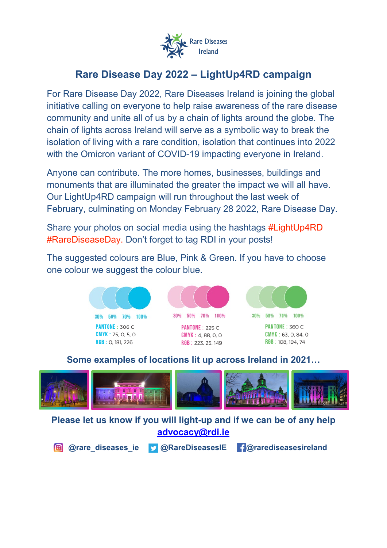

# **Rare Disease Day 2022 – LightUp4RD campaign**

For Rare Disease Day 2022, Rare Diseases Ireland is joining the global initiative calling on everyone to help raise awareness of the rare disease community and unite all of us by a chain of lights around the globe. The chain of lights across Ireland will serve as a symbolic way to break the isolation of living with a rare condition, isolation that continues into 2022 with the Omicron variant of COVID-19 impacting everyone in Ireland.

Anyone can contribute. The more homes, businesses, buildings and monuments that are illuminated the greater the impact we will all have. Our LightUp4RD campaign will run throughout the last week of February, culminating on Monday February 28 2022, Rare Disease Day.

Share your photos on social media using the hashtags #LightUp4RD #RareDiseaseDay. Don't forget to tag RDI in your posts!

The suggested colours are Blue, Pink & Green. If you have to choose one colour we suggest the colour blue.





**PANTONE: 225 C**  $CMYK: 4, 88, 0, 0$  $RGB: 223, 25, 149$ 



PANTONE: 360 C  $CMYK: 63, 0, 84, 0$ RGB: 108, 194, 74

#### **Some examples of locations lit up across Ireland in 2021…**



**Please let us know if you will light-up and if we can be of any help [advocacy@rdi.ie](mailto:advocacy@rdi.ie)**